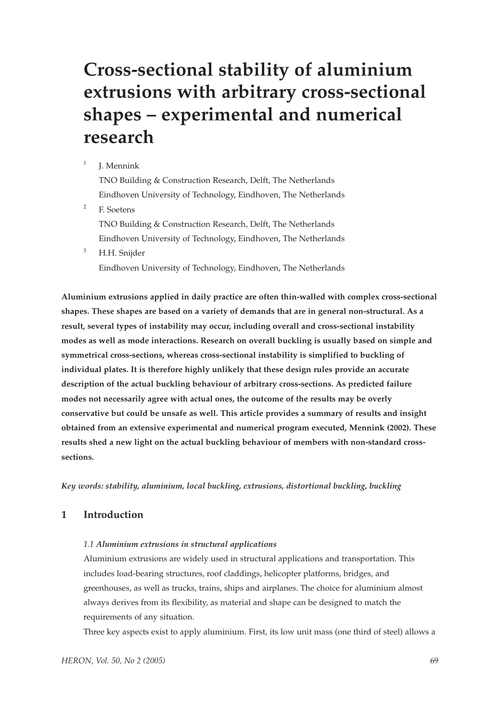# **Cross-sectional stability of aluminium extrusions with arbitrary cross-sectional shapes – experimental and numerical research**

# $<sup>1</sup>$  I. Mennink</sup>

TNO Building & Construction Research, Delft, The Netherlands Eindhoven University of Technology, Eindhoven, The Netherlands <sup>2</sup> F. Soetens TNO Building & Construction Research, Delft, The Netherlands Eindhoven University of Technology, Eindhoven, The Netherlands

<sup>3</sup> H.H. Snijder

Eindhoven University of Technology, Eindhoven, The Netherlands

**Aluminium extrusions applied in daily practice are often thin-walled with complex cross-sectional shapes. These shapes are based on a variety of demands that are in general non-structural. As a result, several types of instability may occur, including overall and cross-sectional instability modes as well as mode interactions. Research on overall buckling is usually based on simple and symmetrical cross-sections, whereas cross-sectional instability is simplified to buckling of individual plates. It is therefore highly unlikely that these design rules provide an accurate description of the actual buckling behaviour of arbitrary cross-sections. As predicted failure modes not necessarily agree with actual ones, the outcome of the results may be overly conservative but could be unsafe as well. This article provides a summary of results and insight obtained from an extensive experimental and numerical program executed, Mennink (2002). These results shed a new light on the actual buckling behaviour of members with non-standard crosssections.**

*Key words: stability, aluminium, local buckling, extrusions, distortional buckling, buckling*

# **1 Introduction**

#### *1.1 Aluminium extrusions in structural applications*

Aluminium extrusions are widely used in structural applications and transportation. This includes load-bearing structures, roof claddings, helicopter platforms, bridges, and greenhouses, as well as trucks, trains, ships and airplanes. The choice for aluminium almost always derives from its flexibility, as material and shape can be designed to match the requirements of any situation.

Three key aspects exist to apply aluminium. First, its low unit mass (one third of steel) allows a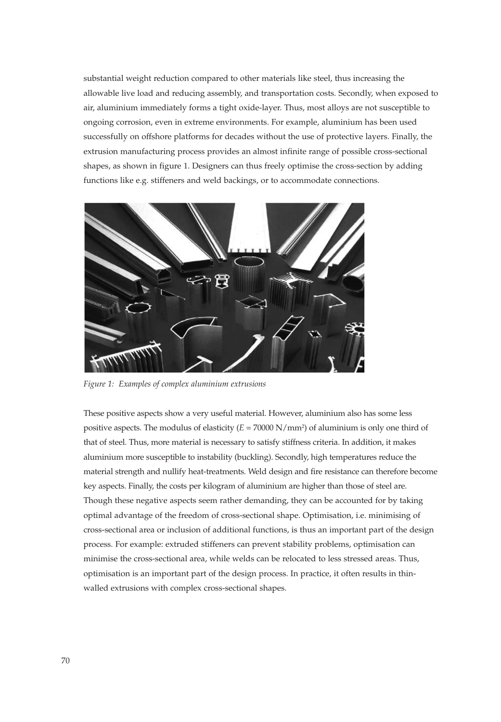substantial weight reduction compared to other materials like steel, thus increasing the allowable live load and reducing assembly, and transportation costs. Secondly, when exposed to air, aluminium immediately forms a tight oxide-layer. Thus, most alloys are not susceptible to ongoing corrosion, even in extreme environments. For example, aluminium has been used successfully on offshore platforms for decades without the use of protective layers. Finally, the extrusion manufacturing process provides an almost infinite range of possible cross-sectional shapes, as shown in figure 1. Designers can thus freely optimise the cross-section by adding functions like e.g. stiffeners and weld backings, or to accommodate connections.



*Figure 1: Examples of complex aluminium extrusions*

These positive aspects show a very useful material. However, aluminium also has some less positive aspects. The modulus of elasticity (*E* = 70000 N/mm2) of aluminium is only one third of that of steel. Thus, more material is necessary to satisfy stiffness criteria. In addition, it makes aluminium more susceptible to instability (buckling). Secondly, high temperatures reduce the material strength and nullify heat-treatments. Weld design and fire resistance can therefore become key aspects. Finally, the costs per kilogram of aluminium are higher than those of steel are. Though these negative aspects seem rather demanding, they can be accounted for by taking optimal advantage of the freedom of cross-sectional shape. Optimisation, i.e. minimising of cross-sectional area or inclusion of additional functions, is thus an important part of the design process. For example: extruded stiffeners can prevent stability problems, optimisation can minimise the cross-sectional area, while welds can be relocated to less stressed areas. Thus, optimisation is an important part of the design process. In practice, it often results in thinwalled extrusions with complex cross-sectional shapes.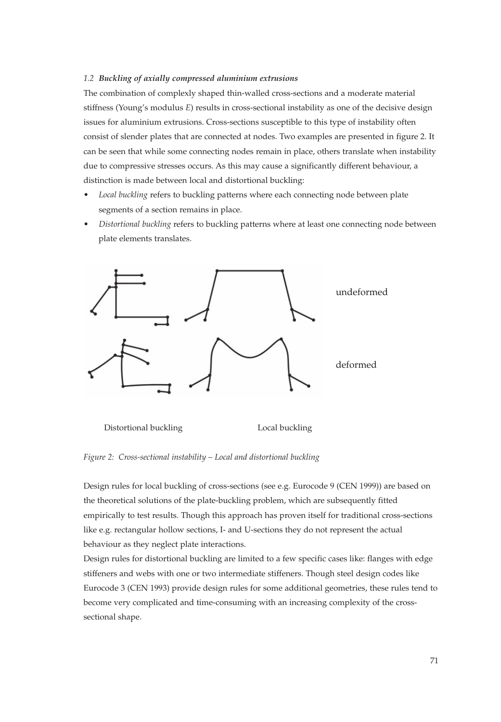#### *1.2 Buckling of axially compressed aluminium extrusions*

The combination of complexly shaped thin-walled cross-sections and a moderate material stiffness (Young's modulus *E*) results in cross-sectional instability as one of the decisive design issues for aluminium extrusions. Cross-sections susceptible to this type of instability often consist of slender plates that are connected at nodes. Two examples are presented in figure 2. It can be seen that while some connecting nodes remain in place, others translate when instability due to compressive stresses occurs. As this may cause a significantly different behaviour, a distinction is made between local and distortional buckling:

- *Local buckling* refers to buckling patterns where each connecting node between plate segments of a section remains in place.
- *Distortional buckling* refers to buckling patterns where at least one connecting node between plate elements translates.



Distortional buckling Local buckling

*Figure 2: Cross-sectional instability – Local and distortional buckling*

Design rules for local buckling of cross-sections (see e.g. Eurocode 9 (CEN 1999)) are based on the theoretical solutions of the plate-buckling problem, which are subsequently fitted empirically to test results. Though this approach has proven itself for traditional cross-sections like e.g. rectangular hollow sections, I- and U-sections they do not represent the actual behaviour as they neglect plate interactions.

Design rules for distortional buckling are limited to a few specific cases like: flanges with edge stiffeners and webs with one or two intermediate stiffeners. Though steel design codes like Eurocode 3 (CEN 1993) provide design rules for some additional geometries, these rules tend to become very complicated and time-consuming with an increasing complexity of the crosssectional shape.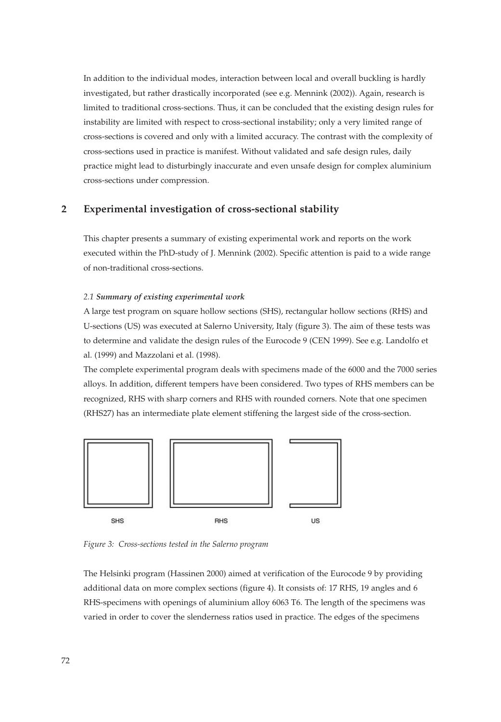In addition to the individual modes, interaction between local and overall buckling is hardly investigated, but rather drastically incorporated (see e.g. Mennink (2002)). Again, research is limited to traditional cross-sections. Thus, it can be concluded that the existing design rules for instability are limited with respect to cross-sectional instability; only a very limited range of cross-sections is covered and only with a limited accuracy. The contrast with the complexity of cross-sections used in practice is manifest. Without validated and safe design rules, daily practice might lead to disturbingly inaccurate and even unsafe design for complex aluminium cross-sections under compression.

# **2 Experimental investigation of cross-sectional stability**

This chapter presents a summary of existing experimental work and reports on the work executed within the PhD-study of J. Mennink (2002). Specific attention is paid to a wide range of non-traditional cross-sections.

#### *2.1 Summary of existing experimental work*

A large test program on square hollow sections (SHS), rectangular hollow sections (RHS) and U-sections (US) was executed at Salerno University, Italy (figure 3). The aim of these tests was to determine and validate the design rules of the Eurocode 9 (CEN 1999). See e.g. Landolfo et al. (1999) and Mazzolani et al. (1998).

The complete experimental program deals with specimens made of the 6000 and the 7000 series alloys. In addition, different tempers have been considered. Two types of RHS members can be recognized, RHS with sharp corners and RHS with rounded corners. Note that one specimen (RHS27) has an intermediate plate element stiffening the largest side of the cross-section.



*Figure 3: Cross-sections tested in the Salerno program* 

The Helsinki program (Hassinen 2000) aimed at verification of the Eurocode 9 by providing additional data on more complex sections (figure 4). It consists of: 17 RHS, 19 angles and 6 RHS-specimens with openings of aluminium alloy 6063 T6. The length of the specimens was varied in order to cover the slenderness ratios used in practice. The edges of the specimens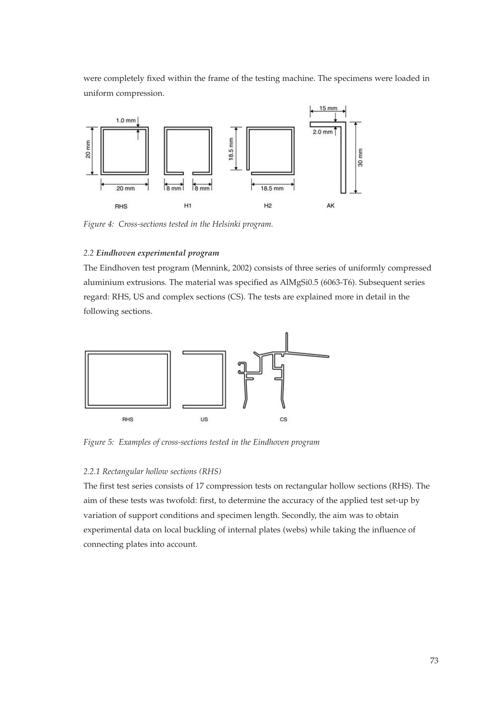were completely fixed within the frame of the testing machine. The specimens were loaded in uniform compression.



*Figure 4: Cross-sections tested in the Helsinki program.*

# *2.2 Eindhoven experimental program*

The Eindhoven test program (Mennink, 2002) consists of three series of uniformly compressed aluminium extrusions. The material was specified as AlMgSi0.5 (6063-T6). Subsequent series regard: RHS, US and complex sections (CS). The tests are explained more in detail in the following sections.



*Figure 5: Examples of cross-sections tested in the Eindhoven program*

#### *2.2.1 Rectangular hollow sections (RHS)*

The first test series consists of 17 compression tests on rectangular hollow sections (RHS). The aim of these tests was twofold: first, to determine the accuracy of the applied test set-up by variation of support conditions and specimen length. Secondly, the aim was to obtain experimental data on local buckling of internal plates (webs) while taking the influence of connecting plates into account.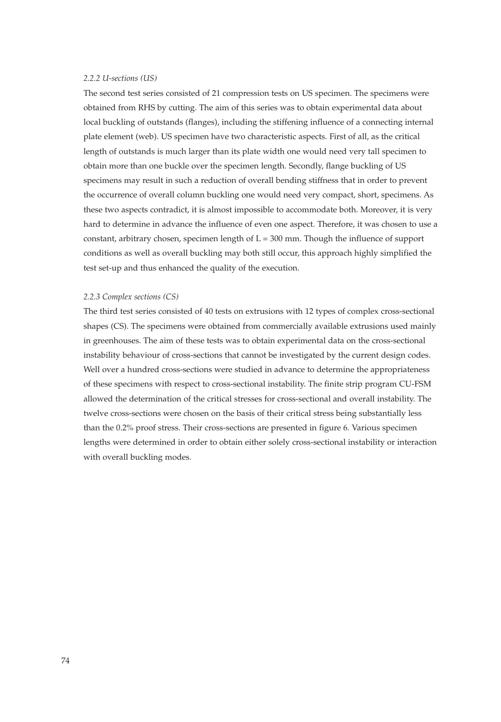## *2.2.2 U-sections (US)*

The second test series consisted of 21 compression tests on US specimen. The specimens were obtained from RHS by cutting. The aim of this series was to obtain experimental data about local buckling of outstands (flanges), including the stiffening influence of a connecting internal plate element (web). US specimen have two characteristic aspects. First of all, as the critical length of outstands is much larger than its plate width one would need very tall specimen to obtain more than one buckle over the specimen length. Secondly, flange buckling of US specimens may result in such a reduction of overall bending stiffness that in order to prevent the occurrence of overall column buckling one would need very compact, short, specimens. As these two aspects contradict, it is almost impossible to accommodate both. Moreover, it is very hard to determine in advance the influence of even one aspect. Therefore, it was chosen to use a constant, arbitrary chosen, specimen length of  $L = 300$  mm. Though the influence of support conditions as well as overall buckling may both still occur, this approach highly simplified the test set-up and thus enhanced the quality of the execution.

#### *2.2.3 Complex sections (CS)*

The third test series consisted of 40 tests on extrusions with 12 types of complex cross-sectional shapes (CS). The specimens were obtained from commercially available extrusions used mainly in greenhouses. The aim of these tests was to obtain experimental data on the cross-sectional instability behaviour of cross-sections that cannot be investigated by the current design codes. Well over a hundred cross-sections were studied in advance to determine the appropriateness of these specimens with respect to cross-sectional instability. The finite strip program CU-FSM allowed the determination of the critical stresses for cross-sectional and overall instability. The twelve cross-sections were chosen on the basis of their critical stress being substantially less than the 0.2% proof stress. Their cross-sections are presented in figure 6. Various specimen lengths were determined in order to obtain either solely cross-sectional instability or interaction with overall buckling modes.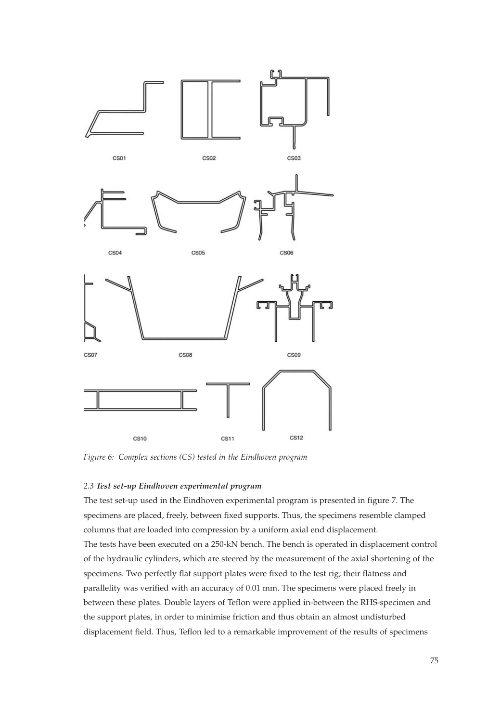

*Figure 6: Complex sections (CS) tested in the Eindhoven program*

## *2.3 Test set-up Eindhoven experimental program*

The test set-up used in the Eindhoven experimental program is presented in figure 7. The specimens are placed, freely, between fixed supports. Thus, the specimens resemble clamped columns that are loaded into compression by a uniform axial end displacement. The tests have been executed on a 250-kN bench. The bench is operated in displacement control of the hydraulic cylinders, which are steered by the measurement of the axial shortening of the specimens. Two perfectly flat support plates were fixed to the test rig; their flatness and parallelity was verified with an accuracy of 0.01 mm. The specimens were placed freely in between these plates. Double layers of Teflon were applied in-between the RHS-specimen and the support plates, in order to minimise friction and thus obtain an almost undisturbed displacement field. Thus, Teflon led to a remarkable improvement of the results of specimens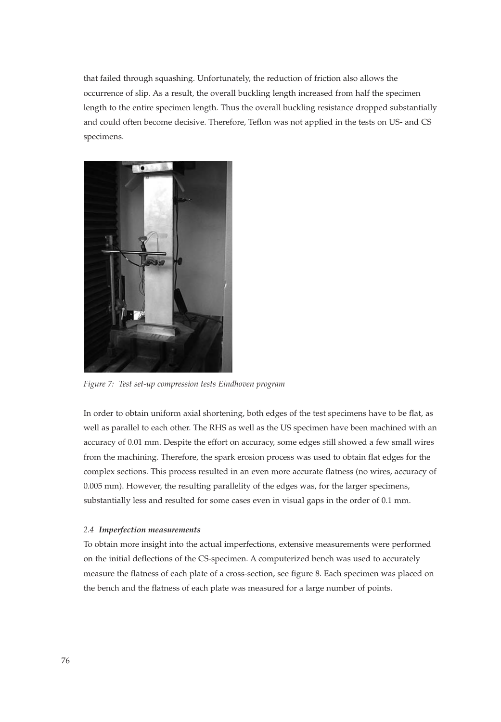that failed through squashing. Unfortunately, the reduction of friction also allows the occurrence of slip. As a result, the overall buckling length increased from half the specimen length to the entire specimen length. Thus the overall buckling resistance dropped substantially and could often become decisive. Therefore, Teflon was not applied in the tests on US- and CS specimens.



*Figure 7: Test set-up compression tests Eindhoven program* 

In order to obtain uniform axial shortening, both edges of the test specimens have to be flat, as well as parallel to each other. The RHS as well as the US specimen have been machined with an accuracy of 0.01 mm. Despite the effort on accuracy, some edges still showed a few small wires from the machining. Therefore, the spark erosion process was used to obtain flat edges for the complex sections. This process resulted in an even more accurate flatness (no wires, accuracy of 0.005 mm). However, the resulting parallelity of the edges was, for the larger specimens, substantially less and resulted for some cases even in visual gaps in the order of 0.1 mm.

#### *2.4 Imperfection measurements*

To obtain more insight into the actual imperfections, extensive measurements were performed on the initial deflections of the CS-specimen. A computerized bench was used to accurately measure the flatness of each plate of a cross-section, see figure 8. Each specimen was placed on the bench and the flatness of each plate was measured for a large number of points.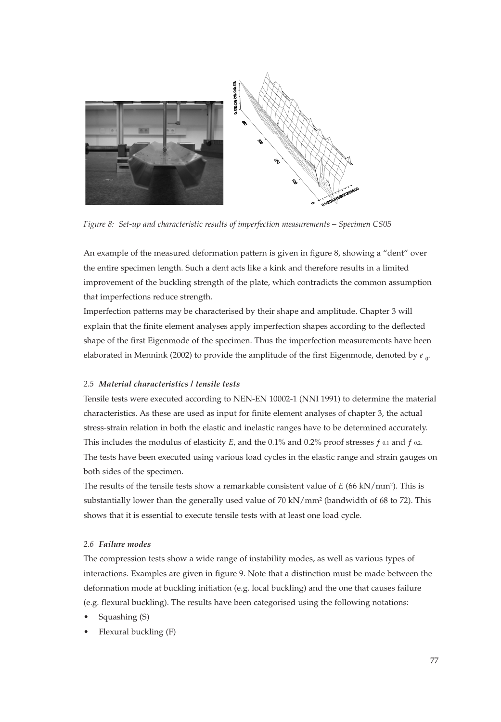

*Figure 8: Set-up and characteristic results of imperfection measurements – Specimen CS05*

An example of the measured deformation pattern is given in figure 8, showing a "dent" over the entire specimen length. Such a dent acts like a kink and therefore results in a limited improvement of the buckling strength of the plate, which contradicts the common assumption that imperfections reduce strength.

Imperfection patterns may be characterised by their shape and amplitude. Chapter 3 will explain that the finite element analyses apply imperfection shapes according to the deflected shape of the first Eigenmode of the specimen. Thus the imperfection measurements have been elaborated in Mennink (2002) to provide the amplitude of the first Eigenmode, denoted by  $e_{\rm o}$ .

# *2.5 Material characteristics / tensile tests*

Tensile tests were executed according to NEN-EN 10002-1 (NNI 1991) to determine the material characteristics. As these are used as input for finite element analyses of chapter 3, the actual stress-strain relation in both the elastic and inelastic ranges have to be determined accurately. This includes the modulus of elasticity  $E$ , and the 0.1% and 0.2% proof stresses  $f$  0.1 and  $f$  0.2. The tests have been executed using various load cycles in the elastic range and strain gauges on both sides of the specimen.

The results of the tensile tests show a remarkable consistent value of *E* (66 kN/mm2). This is substantially lower than the generally used value of 70 kN/mm<sup>2</sup> (bandwidth of 68 to 72). This shows that it is essential to execute tensile tests with at least one load cycle.

# *2.6 Failure modes*

The compression tests show a wide range of instability modes, as well as various types of interactions. Examples are given in figure 9. Note that a distinction must be made between the deformation mode at buckling initiation (e.g. local buckling) and the one that causes failure (e.g. flexural buckling). The results have been categorised using the following notations:

- Squashing (S)
- Flexural buckling (F)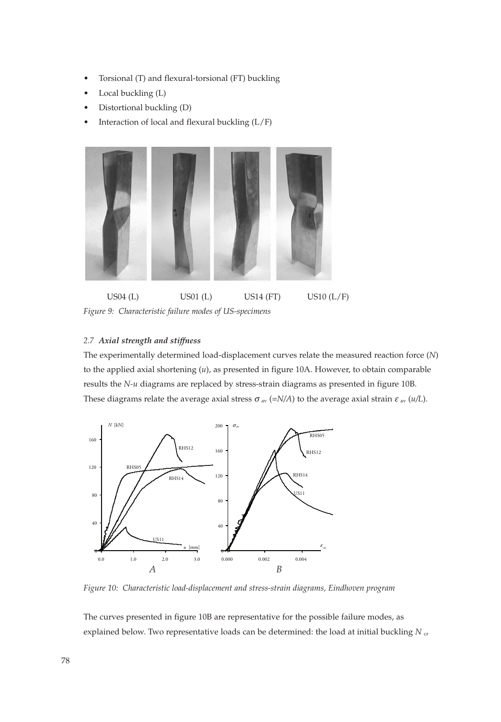- Torsional (T) and flexural-torsional (FT) buckling
- Local buckling (L)
- Distortional buckling (D)
- Interaction of local and flexural buckling  $(L/F)$



US04 (L) US01 (L) US14 (FT) US10 (L/F) *Figure 9: Characteristic failure modes of US-specimens* 

# *2.7 Axial strength and stiffness*

The experimentally determined load-displacement curves relate the measured reaction force (*N*) to the applied axial shortening (*u*), as presented in figure 10A. However, to obtain comparable results the *N-u* diagrams are replaced by stress-strain diagrams as presented in figure 10B. These diagrams relate the average axial stress  $\sigma$ <sub>av</sub> (=*N/A*) to the average axial strain  $\varepsilon$ <sub>av</sub> (*u*/L).



*Figure 10: Characteristic load-displacement and stress-strain diagrams, Eindhoven program*

The curves presented in figure 10B are representative for the possible failure modes, as explained below. Two representative loads can be determined: the load at initial buckling  $N_{cr}$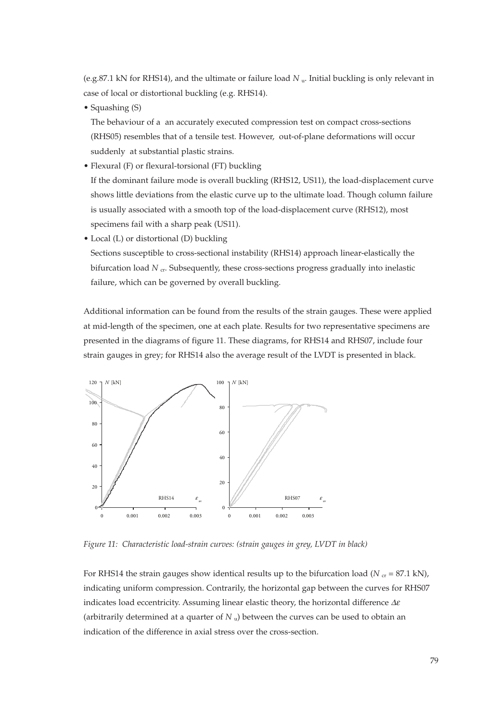(e.g.87.1 kN for RHS14), and the ultimate or failure load *N* u. Initial buckling is only relevant in case of local or distortional buckling (e.g. RHS14).

• Squashing (S)

The behaviour of a an accurately executed compression test on compact cross-sections (RHS05) resembles that of a tensile test. However, out-of-plane deformations will occur suddenly at substantial plastic strains.

• Flexural (F) or flexural-torsional (FT) buckling

If the dominant failure mode is overall buckling (RHS12, US11), the load-displacement curve shows little deviations from the elastic curve up to the ultimate load. Though column failure is usually associated with a smooth top of the load-displacement curve (RHS12), most specimens fail with a sharp peak (US11).

• Local (L) or distortional (D) buckling

Sections susceptible to cross-sectional instability (RHS14) approach linear-elastically the bifurcation load *N* <sub>cr</sub>. Subsequently, these cross-sections progress gradually into inelastic failure, which can be governed by overall buckling.

Additional information can be found from the results of the strain gauges. These were applied at mid-length of the specimen, one at each plate. Results for two representative specimens are presented in the diagrams of figure 11. These diagrams, for RHS14 and RHS07, include four strain gauges in grey; for RHS14 also the average result of the LVDT is presented in black.



*Figure 11: Characteristic load-strain curves: (strain gauges in grey, LVDT in black)*

For RHS14 the strain gauges show identical results up to the bifurcation load ( $N_{cr}$  = 87.1 kN), indicating uniform compression. Contrarily, the horizontal gap between the curves for RHS07 indicates load eccentricity. Assuming linear elastic theory, the horizontal difference  $\Delta \varepsilon$ (arbitrarily determined at a quarter of *N* u) between the curves can be used to obtain an indication of the difference in axial stress over the cross-section.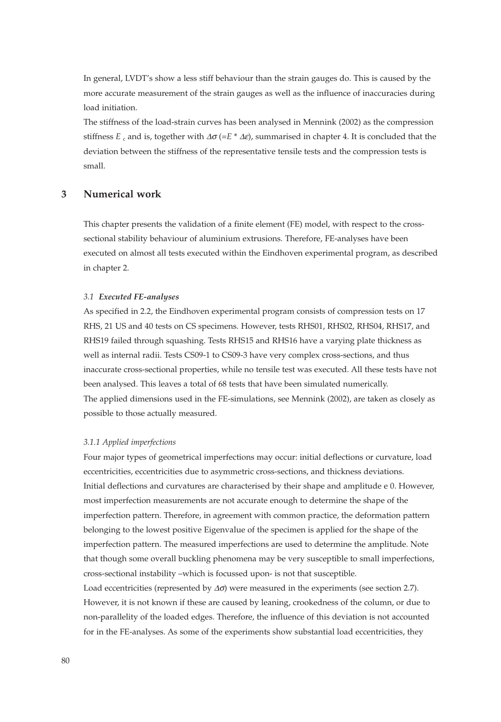In general, LVDT's show a less stiff behaviour than the strain gauges do. This is caused by the more accurate measurement of the strain gauges as well as the influence of inaccuracies during load initiation.

The stiffness of the load-strain curves has been analysed in Mennink (2002) as the compression stiffness  $E_c$  and is, together with  $\Delta \sigma (=E^* \Delta \epsilon)$ , summarised in chapter 4. It is concluded that the deviation between the stiffness of the representative tensile tests and the compression tests is small.

# **3 Numerical work**

This chapter presents the validation of a finite element (FE) model, with respect to the crosssectional stability behaviour of aluminium extrusions. Therefore, FE-analyses have been executed on almost all tests executed within the Eindhoven experimental program, as described in chapter 2.

#### *3.1 Executed FE-analyses*

As specified in 2.2, the Eindhoven experimental program consists of compression tests on 17 RHS, 21 US and 40 tests on CS specimens. However, tests RHS01, RHS02, RHS04, RHS17, and RHS19 failed through squashing. Tests RHS15 and RHS16 have a varying plate thickness as well as internal radii. Tests CS09-1 to CS09-3 have very complex cross-sections, and thus inaccurate cross-sectional properties, while no tensile test was executed. All these tests have not been analysed. This leaves a total of 68 tests that have been simulated numerically. The applied dimensions used in the FE-simulations, see Mennink (2002), are taken as closely as possible to those actually measured.

#### *3.1.1 Applied imperfections*

Four major types of geometrical imperfections may occur: initial deflections or curvature, load eccentricities, eccentricities due to asymmetric cross-sections, and thickness deviations. Initial deflections and curvatures are characterised by their shape and amplitude e 0. However, most imperfection measurements are not accurate enough to determine the shape of the imperfection pattern. Therefore, in agreement with common practice, the deformation pattern belonging to the lowest positive Eigenvalue of the specimen is applied for the shape of the imperfection pattern. The measured imperfections are used to determine the amplitude. Note that though some overall buckling phenomena may be very susceptible to small imperfections, cross-sectional instability –which is focussed upon- is not that susceptible.

Load eccentricities (represented by  $\Delta \sigma$ ) were measured in the experiments (see section 2.7). However, it is not known if these are caused by leaning, crookedness of the column, or due to non-parallelity of the loaded edges. Therefore, the influence of this deviation is not accounted for in the FE-analyses. As some of the experiments show substantial load eccentricities, they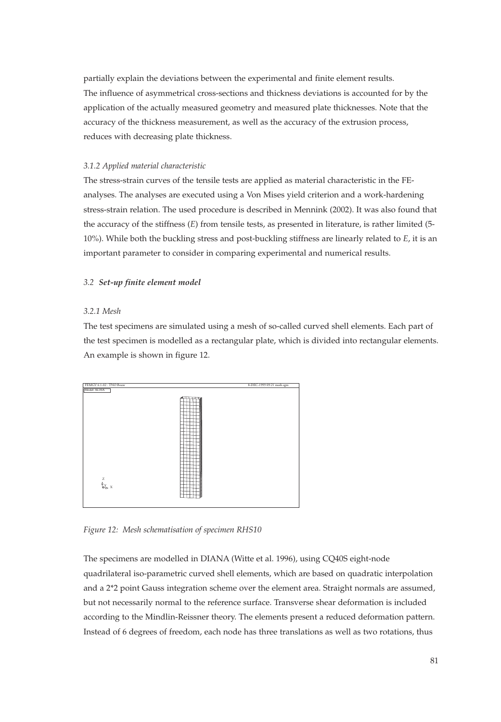partially explain the deviations between the experimental and finite element results. The influence of asymmetrical cross-sections and thickness deviations is accounted for by the application of the actually measured geometry and measured plate thicknesses. Note that the accuracy of the thickness measurement, as well as the accuracy of the extrusion process, reduces with decreasing plate thickness.

#### *3.1.2 Applied material characteristic*

The stress-strain curves of the tensile tests are applied as material characteristic in the FEanalyses. The analyses are executed using a Von Mises yield criterion and a work-hardening stress-strain relation. The used procedure is described in Mennink (2002). It was also found that the accuracy of the stiffness (*E*) from tensile tests, as presented in literature, is rather limited (5- 10%). While both the buckling stress and post-buckling stiffness are linearly related to *E*, it is an important parameter to consider in comparing experimental and numerical results.

#### *3.2 Set-up finite element model*

#### *3.2.1 Mesh*

The test specimens are simulated using a mesh of so-called curved shell elements. Each part of the test specimen is modelled as a rectangular plate, which is divided into rectangular elements. An example is shown in figure 12.



*Figure 12: Mesh schematisation of specimen RHS10*

The specimens are modelled in DIANA (Witte et al. 1996), using CQ40S eight-node quadrilateral iso-parametric curved shell elements, which are based on quadratic interpolation and a 2\*2 point Gauss integration scheme over the element area. Straight normals are assumed, but not necessarily normal to the reference surface. Transverse shear deformation is included according to the Mindlin-Reissner theory. The elements present a reduced deformation pattern. Instead of 6 degrees of freedom, each node has three translations as well as two rotations, thus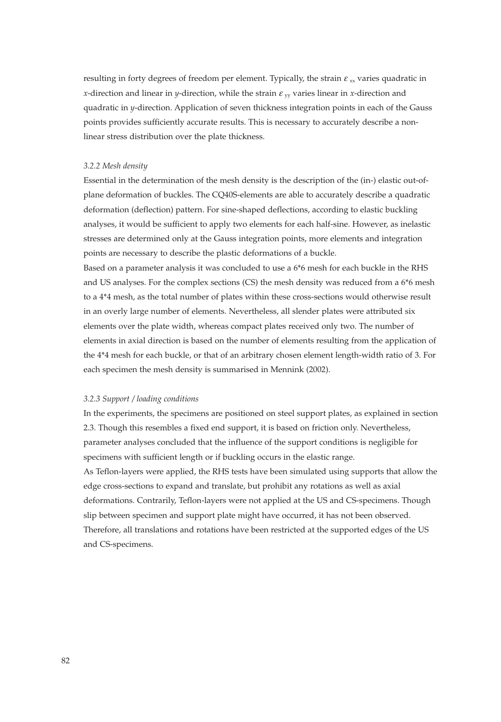resulting in forty degrees of freedom per element. Typically, the strain  $\varepsilon_{xx}$  varies quadratic in *x*-direction and linear in *y*-direction, while the strain  $\varepsilon$ <sub>*w*</sub> varies linear in *x*-direction and quadratic in *y*-direction. Application of seven thickness integration points in each of the Gauss points provides sufficiently accurate results. This is necessary to accurately describe a nonlinear stress distribution over the plate thickness.

#### *3.2.2 Mesh density*

Essential in the determination of the mesh density is the description of the (in-) elastic out-ofplane deformation of buckles. The CQ40S-elements are able to accurately describe a quadratic deformation (deflection) pattern. For sine-shaped deflections, according to elastic buckling analyses, it would be sufficient to apply two elements for each half-sine. However, as inelastic stresses are determined only at the Gauss integration points, more elements and integration points are necessary to describe the plastic deformations of a buckle.

Based on a parameter analysis it was concluded to use a 6\*6 mesh for each buckle in the RHS and US analyses. For the complex sections (CS) the mesh density was reduced from a 6\*6 mesh to a 4\*4 mesh, as the total number of plates within these cross-sections would otherwise result in an overly large number of elements. Nevertheless, all slender plates were attributed six elements over the plate width, whereas compact plates received only two. The number of elements in axial direction is based on the number of elements resulting from the application of the 4\*4 mesh for each buckle, or that of an arbitrary chosen element length-width ratio of 3. For each specimen the mesh density is summarised in Mennink (2002).

#### *3.2.3 Support / loading conditions*

In the experiments, the specimens are positioned on steel support plates, as explained in section 2.3. Though this resembles a fixed end support, it is based on friction only. Nevertheless, parameter analyses concluded that the influence of the support conditions is negligible for specimens with sufficient length or if buckling occurs in the elastic range. As Teflon-layers were applied, the RHS tests have been simulated using supports that allow the edge cross-sections to expand and translate, but prohibit any rotations as well as axial deformations. Contrarily, Teflon-layers were not applied at the US and CS-specimens. Though slip between specimen and support plate might have occurred, it has not been observed. Therefore, all translations and rotations have been restricted at the supported edges of the US and CS-specimens.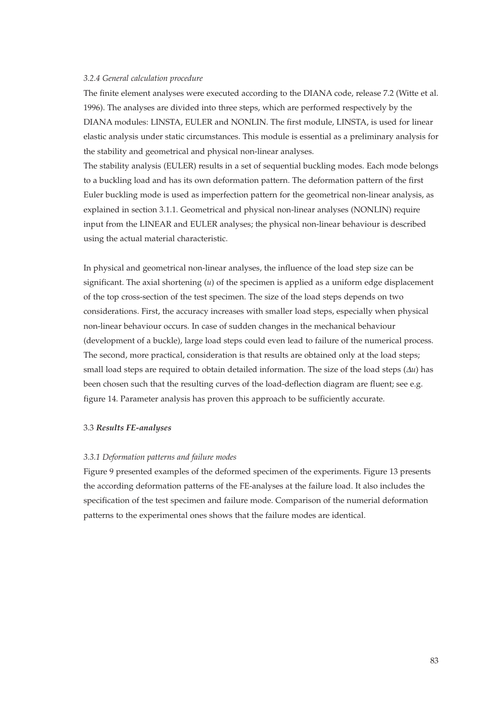#### *3.2.4 General calculation procedure*

The finite element analyses were executed according to the DIANA code, release 7.2 (Witte et al. 1996). The analyses are divided into three steps, which are performed respectively by the DIANA modules: LINSTA, EULER and NONLIN. The first module, LINSTA, is used for linear elastic analysis under static circumstances. This module is essential as a preliminary analysis for the stability and geometrical and physical non-linear analyses.

The stability analysis (EULER) results in a set of sequential buckling modes. Each mode belongs to a buckling load and has its own deformation pattern. The deformation pattern of the first Euler buckling mode is used as imperfection pattern for the geometrical non-linear analysis, as explained in section 3.1.1. Geometrical and physical non-linear analyses (NONLIN) require input from the LINEAR and EULER analyses; the physical non-linear behaviour is described using the actual material characteristic.

In physical and geometrical non-linear analyses, the influence of the load step size can be significant. The axial shortening (*u*) of the specimen is applied as a uniform edge displacement of the top cross-section of the test specimen. The size of the load steps depends on two considerations. First, the accuracy increases with smaller load steps, especially when physical non-linear behaviour occurs. In case of sudden changes in the mechanical behaviour (development of a buckle), large load steps could even lead to failure of the numerical process. The second, more practical, consideration is that results are obtained only at the load steps; small load steps are required to obtain detailed information. The size of the load steps (∆*u*) has been chosen such that the resulting curves of the load-deflection diagram are fluent; see e.g. figure 14. Parameter analysis has proven this approach to be sufficiently accurate.

#### 3.3 *Results FE-analyses*

#### *3.3.1 Deformation patterns and failure modes*

Figure 9 presented examples of the deformed specimen of the experiments. Figure 13 presents the according deformation patterns of the FE-analyses at the failure load. It also includes the specification of the test specimen and failure mode. Comparison of the numerial deformation patterns to the experimental ones shows that the failure modes are identical.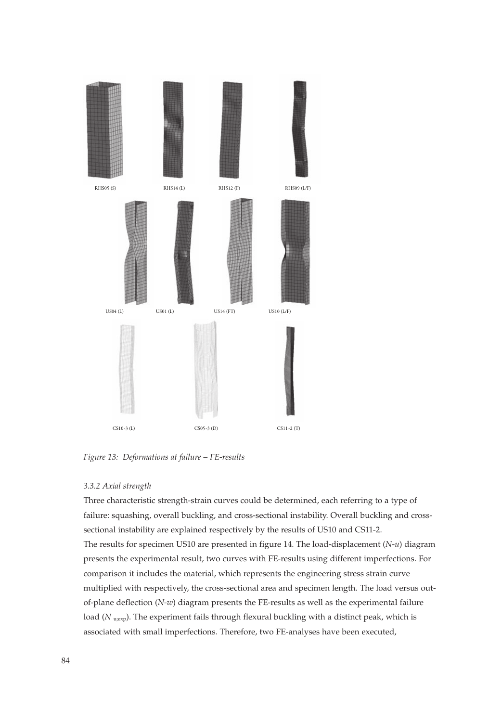

*Figure 13: Deformations at failure – FE-results*

#### *3.3.2 Axial strength*

Three characteristic strength-strain curves could be determined, each referring to a type of failure: squashing, overall buckling, and cross-sectional instability. Overall buckling and crosssectional instability are explained respectively by the results of US10 and CS11-2. The results for specimen US10 are presented in figure 14. The load-displacement (*N-u*) diagram presents the experimental result, two curves with FE-results using different imperfections. For comparison it includes the material, which represents the engineering stress strain curve multiplied with respectively, the cross-sectional area and specimen length. The load versus outof-plane deflection (*N-w*) diagram presents the FE-results as well as the experimental failure load (*N* u<sub>iexp</sub>). The experiment fails through flexural buckling with a distinct peak, which is associated with small imperfections. Therefore, two FE-analyses have been executed,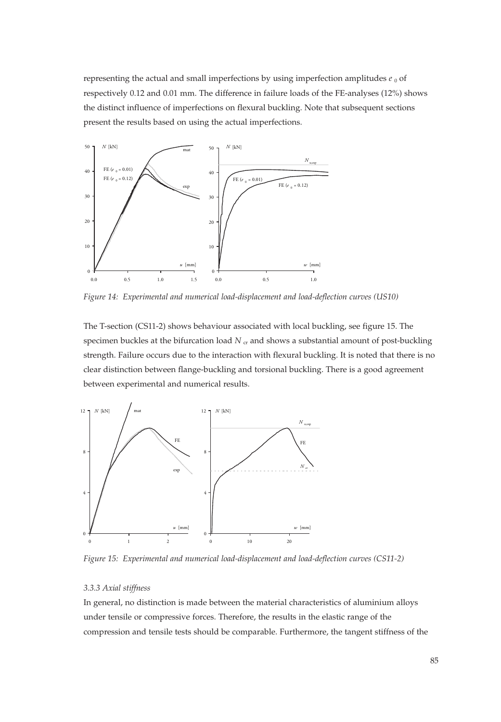representing the actual and small imperfections by using imperfection amplitudes  $e_0$  of respectively 0.12 and 0.01 mm. The difference in failure loads of the FE-analyses (12%) shows the distinct influence of imperfections on flexural buckling. Note that subsequent sections present the results based on using the actual imperfections.



*Figure 14: Experimental and numerical load-displacement and load-deflection curves (US10)*

The T-section (CS11-2) shows behaviour associated with local buckling, see figure 15. The specimen buckles at the bifurcation load  $N<sub>cr</sub>$  and shows a substantial amount of post-buckling strength. Failure occurs due to the interaction with flexural buckling. It is noted that there is no clear distinction between flange-buckling and torsional buckling. There is a good agreement between experimental and numerical results.



*Figure 15: Experimental and numerical load-displacement and load-deflection curves (CS11-2)*

#### *3.3.3 Axial stiffness*

In general, no distinction is made between the material characteristics of aluminium alloys under tensile or compressive forces. Therefore, the results in the elastic range of the compression and tensile tests should be comparable. Furthermore, the tangent stiffness of the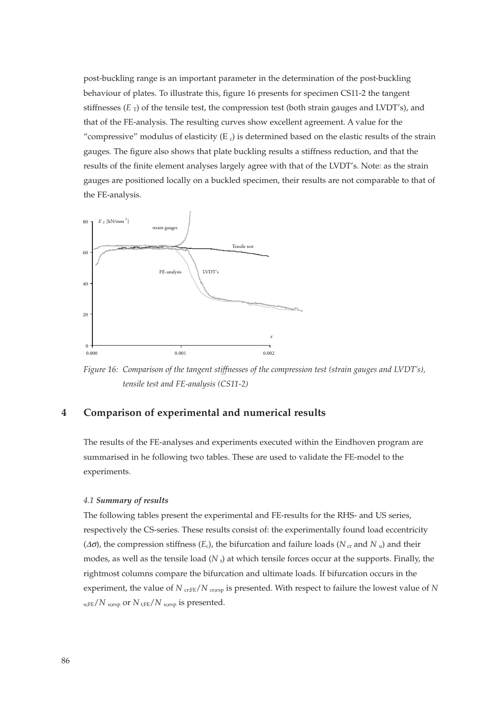post-buckling range is an important parameter in the determination of the post-buckling behaviour of plates. To illustrate this, figure 16 presents for specimen CS11-2 the tangent stiffnesses  $(E_T)$  of the tensile test, the compression test (both strain gauges and LVDT's), and that of the FE-analysis. The resulting curves show excellent agreement. A value for the "compressive" modulus of elasticity  $(E_c)$  is determined based on the elastic results of the strain gauges. The figure also shows that plate buckling results a stiffness reduction, and that the results of the finite element analyses largely agree with that of the LVDT's. Note: as the strain gauges are positioned locally on a buckled specimen, their results are not comparable to that of the FE-analysis.



*Figure 16: Comparison of the tangent stiffnesses of the compression test (strain gauges and LVDT's), tensile test and FE-analysis (CS11-2)*

# **4 Comparison of experimental and numerical results**

The results of the FE-analyses and experiments executed within the Eindhoven program are summarised in he following two tables. These are used to validate the FE-model to the experiments.

#### *4.1 Summary of results*

The following tables present the experimental and FE-results for the RHS- and US series, respectively the CS-series. These results consist of: the experimentally found load eccentricity ( $Δσ$ ), the compression stiffness ( $E<sub>c</sub>$ ), the bifurcation and failure loads ( $N<sub>cr</sub>$  and  $N<sub>u</sub>$ ) and their modes, as well as the tensile load (N<sub>t</sub>) at which tensile forces occur at the supports. Finally, the rightmost columns compare the bifurcation and ultimate loads. If bifurcation occurs in the experiment, the value of  $N_{\text{cr,FE}}/N_{\text{cr,exp}}$  is presented. With respect to failure the lowest value of  $N$ u;FE/*N* u;exp or *N* t;FE/*N* u;exp is presented.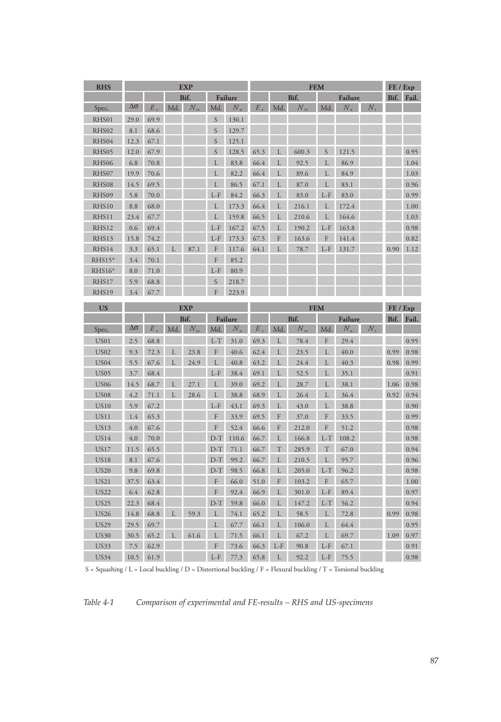| <b>RHS</b>                 | <b>EXP</b>                           |              |      |              |                                |                | <b>FEM</b>                    |        |              |         |              |             | FE / Exp   |              |  |
|----------------------------|--------------------------------------|--------------|------|--------------|--------------------------------|----------------|-------------------------------|--------|--------------|---------|--------------|-------------|------------|--------------|--|
|                            |                                      |              | Bif. |              |                                | <b>Failure</b> | Bif.                          |        |              | Failure |              |             | Bif. Fail. |              |  |
| Spec.                      | Δσ                                   | $E_{c}$      | Md.  | $N_{\rm cr}$ | Md.                            | $N_{\rm u}$    | E                             | Md.    | $N_{\rm cr}$ | Md.     | $N_{\rm n}$  | $N_{\rm r}$ |            |              |  |
| RHS01                      | 29.0                                 | 69.9         |      |              | S                              | 130.1          |                               |        |              |         |              |             |            |              |  |
| RHS02                      | 8.1                                  | 68.6         |      |              | S                              | 129.7          |                               |        |              |         |              |             |            |              |  |
| RHS04                      | 12.3                                 | 67.1         |      |              | S                              | 125.1          |                               |        |              |         |              |             |            |              |  |
| RHS05                      | 12.0                                 | 67.9         |      |              | S                              | 128.5          | 65.3                          | L      | 600.3        | S       | 121.5        |             |            | 0.95         |  |
| RHS06                      | 6.8                                  | 70.8         |      |              | L                              | 83.8           | 66.4                          | L      | 92.5         | L       | 86.9         |             |            | 1.04         |  |
| RHS07                      | 19.9                                 | 70.6         |      |              | L                              | 82.2           | 66.4                          | L      | 89.6         | L       | 84.9         |             |            | 1.03         |  |
| RHS08                      | 14.5                                 | 69.5         |      |              | L                              | 86.5           | 67.1                          | L      | 87.0         |         | 83.1         |             |            | 0.96         |  |
| RHS09                      | 5.8                                  | 70.0         |      |              | L-F                            | 84.2           | 66.3                          | L      | 83.0         | L-F     | 83.0         |             |            | 0.99         |  |
| RHS10                      | 8.8                                  | 68.0         |      |              | L                              | 173.3          | 66.4                          | L      | 216.1        | L       | 172.4        |             |            | 1.00         |  |
| RHS11                      | 23.4                                 | 67.7         |      |              | L                              | 159.8          | 66.5                          | L      | 210.6        | L       | 164.6        |             |            | 1.03         |  |
| RHS12                      | 0.6                                  | 69.4         |      |              | $L-F$                          | 167.2          | 67.5                          | L      | 190.2        | $L-F$   | 163.8        |             |            | 0.98         |  |
| RHS13                      | 15.8                                 | 74.2         |      |              | $L-F$                          | 173.3          | 67.5                          | F      | 163.6        | F       | 141.4        |             |            | 0.82         |  |
| RHS14                      | 3.3                                  | 65.1         |      | 87.1         | F                              | 117.6          | 64.1                          |        | 78.7         | $L - F$ | 131.7        |             | 0.90       | 1.12         |  |
| RHS15*                     | 3.4                                  | 70.1         |      |              | F                              | 85.2           |                               |        |              |         |              |             |            |              |  |
| RHS16*                     | 8.0                                  | 71.0         |      |              | $L-F$                          | 80.9           |                               |        |              |         |              |             |            |              |  |
| RHS17                      | 5.9                                  | 68.8         |      |              | S                              | 218.7          |                               |        |              |         |              |             |            |              |  |
| RHS19                      | 3.4                                  | 67.7         |      |              | F                              | 223.9          |                               |        |              |         |              |             |            |              |  |
| <b>US</b>                  |                                      |              |      |              |                                |                |                               |        |              |         |              |             |            | FE / Exp     |  |
|                            | <b>EXP</b><br>Bif.<br><b>Failure</b> |              |      |              |                                |                | <b>FEM</b><br>Bif.<br>Failure |        |              |         |              |             |            | Bif. Fail.   |  |
| Spec.                      | Δσ                                   | E            | Md.  | $N_{\rm c}$  | Md.                            | $N_{\rm n}$    | E                             | Md.    | $N_{\alpha}$ | Md.     | N,           | $N_{\rm r}$ |            |              |  |
|                            |                                      |              |      |              |                                |                |                               |        |              |         |              |             |            |              |  |
|                            |                                      |              |      |              |                                |                |                               |        |              |         |              |             |            |              |  |
| US01                       | 2.5                                  | 68.8         |      |              | $L-T$                          | 31.0           | 69.3                          | L      | 78.4         | F       | 29.4         |             |            | 0.95         |  |
| <b>US02</b>                | 9.3                                  | 72.3         | L    | 23.8         | F                              | 40.6           | 62.4                          | L      | 23.5         | L       | 40.0         |             | 0.99       | 0.98         |  |
| US <sub>04</sub>           | 5.5                                  | 67.6         | L    | 24.9         | L                              | 40.8           | 63.2                          | L      | 24.4         | L       | 40.3         |             | 0.98       | 0.99         |  |
| <b>US05</b>                | 3.7                                  | 68.4         |      |              | $L-F$                          | 38.4           | 69.1                          | L      | 52.5         | L       | 35.1         |             |            | 0.91         |  |
| <b>US06</b>                | 14.5                                 | 68.7         | L    | 27.1         | L                              | 39.0           | 69.2                          | L      | 28.7         | L       | 38.1         |             | 1.06       | 0.98         |  |
| <b>US08</b>                | 4.2                                  | 71.1         | L    | 28.6         | L                              | 38.8           | 68.9                          | L      | 26.4         | L       | 36.4         |             | 0.92       | 0.94         |  |
| <b>US10</b>                | 5.9                                  | 67.2         |      |              | $L-F$                          | 43.1           | 69.3                          | L      | 43.0         | L       | 38.8         |             |            | 0.90         |  |
| US11                       | 1.4                                  | 65.3         |      |              | F                              | 33.9           | 69.5                          | F      | 37.0         | F       | 33.5         |             |            | 0.99         |  |
| <b>US13</b>                | 4.0                                  | 67.6         |      |              | F                              | 52.4           | 66.6                          | F      | 212.0        | F       | 51.2         |             |            | 0.98         |  |
| <b>US14</b>                | 4.0                                  | 70.0         |      |              | $D-T$                          | 110.6          | 66.7                          | L      | 166.8        | L-T     | 108.2        |             |            | 0.98         |  |
| <b>US17</b>                | 11.5                                 | 65.5         |      |              | $D-T$                          | 71.1           | 66.7                          | T      | 285.9        | T       | 67.0         |             |            | 0.94         |  |
| <b>US18</b>                | 8.1                                  | 67.6         |      |              | $D-T$                          | 99.2           | 66.7                          | L      | 210.5        | L       | 95.7         |             |            | 0.96         |  |
| <b>US20</b>                | 9.8                                  | 69.8         |      |              | $\mathbf{D}\text{-}\mathbf{T}$ | 98.5           | 66.8                          | L      | 205.0        | $L-T$   | 96.2         |             |            | 0.98         |  |
| <b>US21</b>                | 37.5                                 | 63.4         |      |              | F<br>F                         | 66.0           | 51.0                          | F      | 103.2        | F       | 65.7         |             |            | 1.00         |  |
| <b>US22</b>                | 6.4                                  | 62.8         |      |              |                                | 92.4           | 66.9                          | L      | 301.0        | $L-F$   | 89.4         |             |            | 0.97         |  |
| <b>US25</b>                | 22.3                                 | 68.4         | L    |              | $D-T$<br>L                     | 59.8           | 66.0                          | L      | 147.2        | $L-T$   | 56.2         |             |            | 0.94         |  |
| <b>US26</b>                | 14.8                                 | 68.8         |      | 59.3         | L                              | 74.1           | 65.2                          | L<br>L | 58.5         | L<br>L  | 72.8         |             | 0.99       | 0.98         |  |
| <b>US29</b>                | 29.5                                 | 69.7         | L    |              | L                              | 67.7           | 66.1                          | L      | 106.0        | L       | 64.4         |             |            | 0.95         |  |
| <b>US30</b><br><b>US33</b> | 30.5<br>7.5                          | 65.2<br>62.9 |      | 61.6         | F                              | 71.5<br>73.6   | 66.1<br>66.3                  | L-F    | 67.2<br>90.8 | $L-F$   | 69.7<br>67.1 |             | 1.09       | 0.97<br>0.91 |  |

S = Squashing / L = Local buckling / D = Distortional buckling / F = Flexural buckling / T = Torsional buckling

*Table 4-1 Comparison of experimental and FE-results – RHS and US-specimens*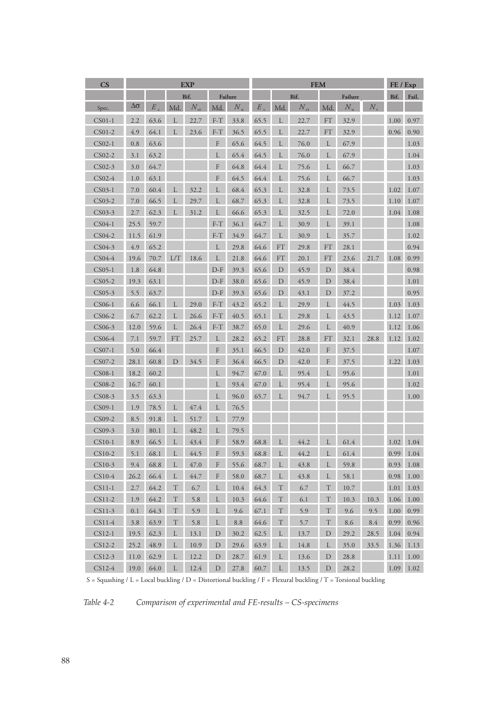| $\overline{\text{CS}}$ | <b>EXP</b> |              |               |          |             |             | <b>FEM</b> |             |          |               |             |             | FE / Exp  |       |
|------------------------|------------|--------------|---------------|----------|-------------|-------------|------------|-------------|----------|---------------|-------------|-------------|-----------|-------|
|                        |            | Bif.         |               |          |             | Failure     |            |             | Bif.     | Failure       |             |             | Bif.      | Fail. |
| Spec.                  | Δσ         | $E_{\alpha}$ | Md            | $N_{cr}$ | Md.         | $N_{\rm n}$ | $\cal E$   | Md.         | $N_{cr}$ | Md.           | $N_{\rm n}$ | $N_{\rm r}$ |           |       |
| $CS01-1$               | 2.2        | 63.6         |               | 22.7     | $F-T$       | 33.8        | 65.5       | L           | 22.7     | $\mathsf{FT}$ | 32.9        |             | 1.00      | 0.97  |
| $CS01-2$               | 4.9        | 64.1         | L             | 23.6     | $F-T$       | 36.5        | 65.5       | L           | 22.7     | FT            | 32.9        |             | 0.96      | 0.90  |
| CS02-1                 | 0.8        | 63.6         |               |          | $\rm F$     | 65.6        | 64.5       | L           | 76.0     | L             | 67.9        |             |           | 1.03  |
| CS02-2                 | 3.1        | 63.2         |               |          | L           | 65.4        | 64.5       | L           | 76.0     | L             | 67.9        |             |           | 1.04  |
| CS02-3                 | 3.0        | 64.7         |               |          | F           | 64.8        | 64.4       | L           | 75.6     | L             | 66.7        |             |           | 1.03  |
| CS02-4                 | 1.0        | 63.1         |               |          | F           | 64.5        | 64.4       | L           | 75.6     | L             | 66.7        |             |           | 1.03  |
| CS03-1                 | 7.0        | 60.4         | L             | 32.2     | L           | 68.4        | 65.3       | L           | 32.8     | L             | 73.5        |             | 1.02      | 1.07  |
| CS03-2                 | 7.0        | 66.5         | L             | 29.7     | L           | 68.7        | 65.3       | L           | 32.8     | L             | 73.5        |             | 1.10      | 1.07  |
| CS03-3                 | 2.7        | 62.3         | L             | 31.2     | L           | 66.6        | 65.3       | L           | 32.5     | L             | 72.0        |             | 1.04      | 1.08  |
| CS04-1                 | 25.5       | 59.7         |               |          | $F-T$       | 36.1        | 64.7       | L           | 30.9     | L             | 39.1        |             |           | 1.08  |
| CS04-2                 | 11.5       | 61.9         |               |          | $F-T$       | 34.9        | 64.7       | L           | 30.9     | L             | 35.7        |             |           | 1.02  |
| CS04-3                 | 4.9        | 65.2         |               |          | L           | 29.8        | 64.6       | FT          | 29.8     | $FT$          | 28.1        |             |           | 0.94  |
| CS04-4                 | 19.6       | 70.7         | L/T           | 18.6     | L           | 21.8        | 64.6       | ${\rm FT}$  | 20.1     | FT            | 23.6        | 21.7        | 1.08      | 0.99  |
| $CS05-1$               | 1.8        | 64.8         |               |          | $D-F$       | 39.3        | 65.6       | D           | 45.9     | $\mathbf D$   | 38.4        |             |           | 0.98  |
| CS05-2                 | 19.3       | 63.1         |               |          | $D-F$       | 38.0        | 65.6       | D           | 45.9     | D             | 38.4        |             |           | 1.01  |
| CS05-3                 | 5.5        | 63.7         |               |          | $D-F$       | 39.3        | 65.6       | $\mathbf D$ | 43.1     | D             | 37.2        |             |           | 0.95  |
| CS06-1                 | 6.6        | 66.1         | L             | 29.0     | $F-T$       | 43.2        | 65.2       | L           | 29.9     | L             | 44.5        |             | 1.03      | 1.03  |
| CS06-2                 | 6.7        | 62.2         | L             | 26.6     | $F-T$       | 40.5        | 65.1       | L           | 29.8     | L             | 43.5        |             | 1.12      | 1.07  |
| CS06-3                 | 12.0       | 59.6         | L             | 26.4     | $F-T$       | 38.7        | 65.0       | L           | 29.6     | L             | 40.9        |             | 1.12      | 1.06  |
| CS06-4                 | 7.1        | 59.7         | $\mathsf{FT}$ | 25.7     | L           | 28.2        | 65.2       | FT          | 28.8     | <b>FT</b>     | 32.1        | 28.8        | 1.12      | 1.02  |
| CS07-1                 | 5.0        | 66.4         |               |          | F           | 35.1        | 66.5       | D           | 42.0     | F             | 37.5        |             |           | 1.07  |
| CS07-2                 | 28.1       | 60.8         | $\mathbf D$   | 34.5     | $\mathbf F$ | 36.4        | 66.5       | $\mathbf D$ | 42.0     | F             | 37.5        |             | 1.22 1.03 |       |
| CS08-1                 | 18.2       | 60.2         |               |          | L           | 94.7        | 67.0       | L           | 95.4     | L             | 95.6        |             |           | 1.01  |
| CS08-2                 | 16.7       | 60.1         |               |          | L           | 93.4        | 67.0       | L           | 95.4     | L             | 95.6        |             |           | 1.02  |
| CS08-3                 | 3.5        | 63.3         |               |          | L           | 96.0        | 65.7       | L           | 94.7     | L             | 95.5        |             |           | 1.00  |
| CS09-1                 | 1.9        | 78.5         | L             | 47.4     | L           | 76.5        |            |             |          |               |             |             |           |       |
| CS09-2                 | 8.5        | 91.8         | L             | 51.7     | L           | 77.9        |            |             |          |               |             |             |           |       |
| CS09-3                 | 3.0        | 80.1         | L             | 48.2     | L           | 79.5        |            |             |          |               |             |             |           |       |
| $CS10-1$               | 8.9        | 66.5         | L             | 43.4     | F           | 58.9        | 68.8       | L           | 44.2     | L             | 61.4        |             | 1.02      | 1.04  |
| CS10-2                 | 5.1        | 68.1         | L             | 44.5     | F           | 59.3        | 68.8       | L           | 44.2     | L             | 61.4        |             | 0.99      | 1.04  |
| CS10-3                 | 9.4        | 68.8         | L             | 47.0     | F           | 55.6        | 68.7       | L           | 43.8     | L             | 59.8        |             | 0.93      | 1.08  |
| $CS10-4$               | 26.2       | 66.4         | L             | 44.7     | F           | 58.0        | 68.7       | L           | 43.8     | L             | 58.1        |             | 0.98      | 1.00  |
| $CS11-1$               | 2.7        | 64.2         | T             | 6.7      | L           | 10.4        | 64.3       | T           | 6.7      | T             | 10.7        |             | 1.01      | 1.03  |
| CS11-2                 | 1.9        | 64.2         | $\mathcal T$  | 5.8      | L           | 10.3        | 64.6       | T           | 6.1      | T             | 10.3        | 10.3        | 1.06      | 1.00  |
| $CS11-3$               | 0.1        | 64.3         | $\mathcal T$  | 5.9      | L           | 9.6         | 67.1       | $\mathbf T$ | 5.9      | $\mathcal T$  | 9.6         | 9.5         | 1.00      | 0.99  |
| CS11-4                 | 3.8        | 63.9         | $\mathbf T$   | 5.8      | L           | 8.8         | 64.6       | $\mathbf T$ | 5.7      | T             | 8.6         | 8.4         | 0.99      | 0.96  |
| $CS12-1$               | 19.5       | 62.3         | L             | 13.1     | D           | 30.2        | 62.5       | L           | 13.7     | D             | 29.2        | 28.5        | 1.04      | 0.94  |
| CS12-2                 | 25.2       | 48.9         | L             | 10.9     | D           | 29.6        | 63.9       | L           | 14.8     | L             | 35.0        | 33.5        | 1.36      | 1.13  |
| CS12-3                 | 11.0       | 62.9         | L             | 12.2     | $\mathbf D$ | 28.7        | 61.9       | L           | 13.6     | $\mathbf D$   | 28.8        |             | 1.11      | 1.00  |
| $CS12-4$               | 19.0       | 64.0         | L             | 12.4     | D           | 27.8        | 60.7       | L           | 13.5     | D             | 28.2        |             | 1.09      | 1.02  |

S = Squashing / L = Local buckling / D = Distortional buckling / F = Flexural buckling / T = Torsional buckling

*Table 4-2 Comparison of experimental and FE-results – CS-specimens*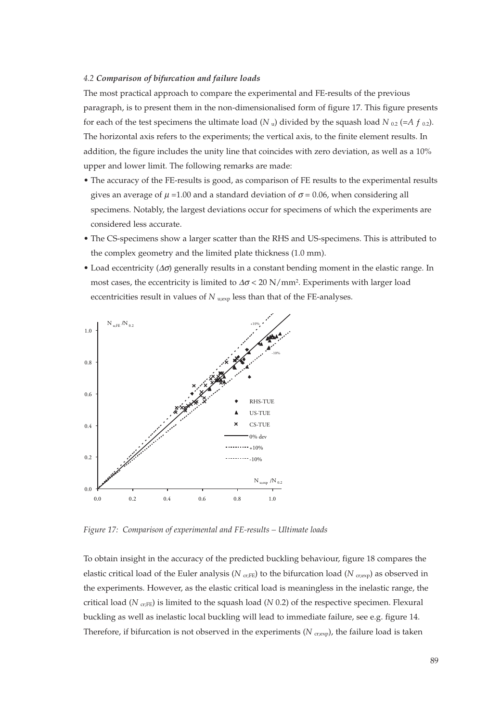#### *4.2 Comparison of bifurcation and failure loads*

The most practical approach to compare the experimental and FE-results of the previous paragraph, is to present them in the non-dimensionalised form of figure 17. This figure presents for each of the test specimens the ultimate load ( $N_u$ ) divided by the squash load  $N_{0.2}$  (=A  $f_{0.2}$ ). The horizontal axis refers to the experiments; the vertical axis, to the finite element results. In addition, the figure includes the unity line that coincides with zero deviation, as well as a 10% upper and lower limit. The following remarks are made:

- The accuracy of the FE-results is good, as comparison of FE results to the experimental results gives an average of  $\mu$  =1.00 and a standard deviation of  $\sigma$  = 0.06, when considering all specimens. Notably, the largest deviations occur for specimens of which the experiments are considered less accurate.
- The CS-specimens show a larger scatter than the RHS and US-specimens. This is attributed to the complex geometry and the limited plate thickness (1.0 mm).
- Load eccentricity  $(\Delta \sigma)$  generally results in a constant bending moment in the elastic range. In most cases, the eccentricity is limited to  $\Delta \sigma$  < 20 N/mm<sup>2</sup>. Experiments with larger load eccentricities result in values of *N* u<sub>gexp</sub> less than that of the FE-analyses.



*Figure 17: Comparison of experimental and FE-results – Ultimate loads*

To obtain insight in the accuracy of the predicted buckling behaviour, figure 18 compares the elastic critical load of the Euler analysis ( $N_{\text{cr,FE}}$ ) to the bifurcation load ( $N_{\text{cr,exp}}$ ) as observed in the experiments. However, as the elastic critical load is meaningless in the inelastic range, the critical load ( $N_{\text{cr,FE}}$ ) is limited to the squash load ( $N$  0.2) of the respective specimen. Flexural buckling as well as inelastic local buckling will lead to immediate failure, see e.g. figure 14. Therefore, if bifurcation is not observed in the experiments  $(N_{\text{crexp}})$ , the failure load is taken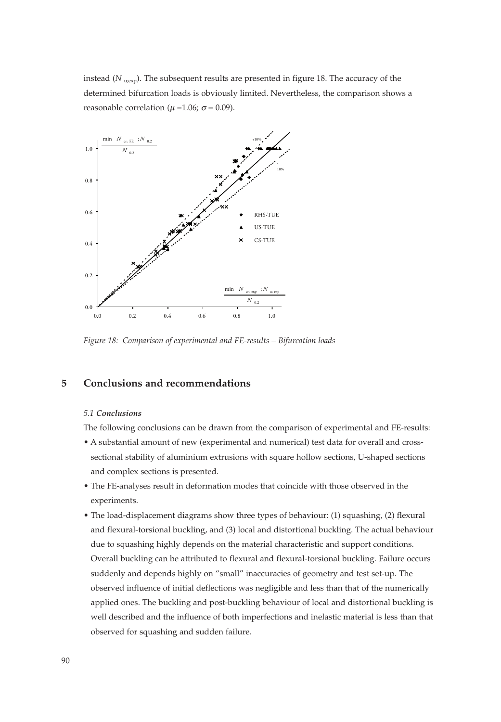instead (*N* <sub>u;exp</sub>). The subsequent results are presented in figure 18. The accuracy of the determined bifurcation loads is obviously limited. Nevertheless, the comparison shows a reasonable correlation ( $\mu$  =1.06;  $\sigma$  = 0.09).



*Figure 18: Comparison of experimental and FE-results – Bifurcation loads*

# **5 Conclusions and recommendations**

#### *5.1 Conclusions*

The following conclusions can be drawn from the comparison of experimental and FE-results:

- A substantial amount of new (experimental and numerical) test data for overall and crosssectional stability of aluminium extrusions with square hollow sections, U-shaped sections and complex sections is presented.
- The FE-analyses result in deformation modes that coincide with those observed in the experiments.
- The load-displacement diagrams show three types of behaviour: (1) squashing, (2) flexural and flexural-torsional buckling, and (3) local and distortional buckling. The actual behaviour due to squashing highly depends on the material characteristic and support conditions. Overall buckling can be attributed to flexural and flexural-torsional buckling. Failure occurs suddenly and depends highly on "small" inaccuracies of geometry and test set-up. The observed influence of initial deflections was negligible and less than that of the numerically applied ones. The buckling and post-buckling behaviour of local and distortional buckling is well described and the influence of both imperfections and inelastic material is less than that observed for squashing and sudden failure.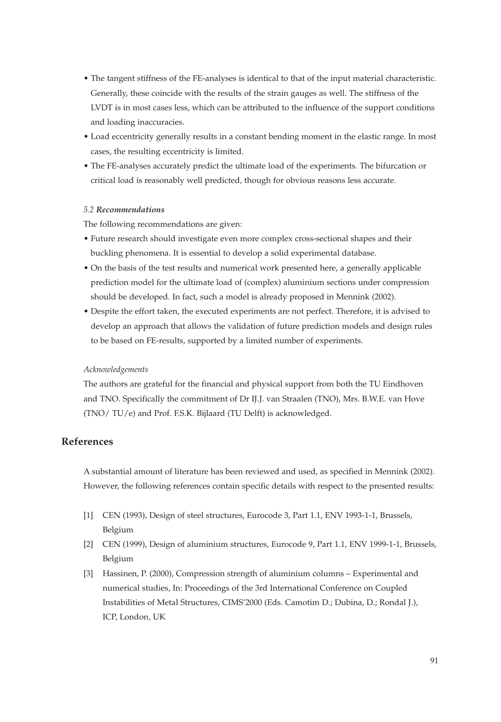- The tangent stiffness of the FE-analyses is identical to that of the input material characteristic. Generally, these coincide with the results of the strain gauges as well. The stiffness of the LVDT is in most cases less, which can be attributed to the influence of the support conditions and loading inaccuracies.
- Load eccentricity generally results in a constant bending moment in the elastic range. In most cases, the resulting eccentricity is limited.
- The FE-analyses accurately predict the ultimate load of the experiments. The bifurcation or critical load is reasonably well predicted, though for obvious reasons less accurate.

#### *5.2 Recommendations*

The following recommendations are given:

- Future research should investigate even more complex cross-sectional shapes and their buckling phenomena. It is essential to develop a solid experimental database.
- On the basis of the test results and numerical work presented here, a generally applicable prediction model for the ultimate load of (complex) aluminium sections under compression should be developed. In fact, such a model is already proposed in Mennink (2002).
- Despite the effort taken, the executed experiments are not perfect. Therefore, it is advised to develop an approach that allows the validation of future prediction models and design rules to be based on FE-results, supported by a limited number of experiments.

#### *Acknowledgements*

The authors are grateful for the financial and physical support from both the TU Eindhoven and TNO. Specifically the commitment of Dr IJ.J. van Straalen (TNO), Mrs. B.W.E. van Hove (TNO/ TU/e) and Prof. F.S.K. Bijlaard (TU Delft) is acknowledged.

# **References**

A substantial amount of literature has been reviewed and used, as specified in Mennink (2002). However, the following references contain specific details with respect to the presented results:

- [1] CEN (1993), Design of steel structures, Eurocode 3, Part 1.1, ENV 1993-1-1, Brussels, Belgium
- [2] CEN (1999), Design of aluminium structures, Eurocode 9, Part 1.1, ENV 1999-1-1, Brussels, Belgium
- [3] Hassinen, P. (2000), Compression strength of aluminium columns Experimental and numerical studies, In: Proceedings of the 3rd International Conference on Coupled Instabilities of Metal Structures, CIMS'2000 (Eds. Camotim D.; Dubina, D.; Rondal J.), ICP, London, UK